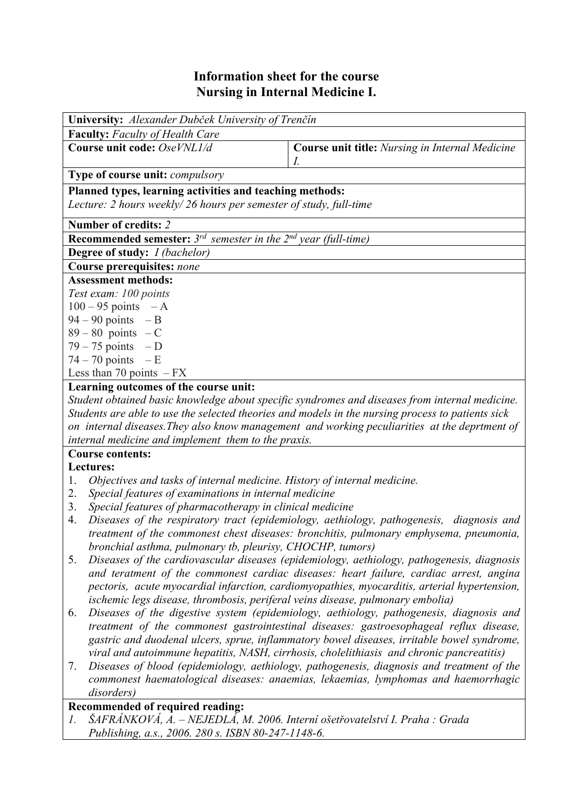## **Information sheet for the course Nursing in Internal Medicine I.**

| University: Alexander Dubček University of Trenčín                              |                                                              |  |  |  |  |  |
|---------------------------------------------------------------------------------|--------------------------------------------------------------|--|--|--|--|--|
| <b>Faculty:</b> Faculty of Health Care                                          |                                                              |  |  |  |  |  |
| Course unit code: OseVNL1/d                                                     | <b>Course unit title:</b> Nursing in Internal Medicine<br>1. |  |  |  |  |  |
| <b>Type of course unit:</b> <i>compulsory</i>                                   |                                                              |  |  |  |  |  |
| Planned types, learning activities and teaching methods:                        |                                                              |  |  |  |  |  |
| Lecture: 2 hours weekly/26 hours per semester of study, full-time               |                                                              |  |  |  |  |  |
| Number of credits: 2                                                            |                                                              |  |  |  |  |  |
| <b>Recommended semester:</b> $3^{rd}$ semester in the $2^{nd}$ year (full-time) |                                                              |  |  |  |  |  |
| <b>Degree of study:</b> <i>I (bachelor)</i>                                     |                                                              |  |  |  |  |  |
| Course prerequisites: none                                                      |                                                              |  |  |  |  |  |
| <b>Assessment methods:</b>                                                      |                                                              |  |  |  |  |  |
| Test exam: 100 points                                                           |                                                              |  |  |  |  |  |
| $100 - 95$ points $-A$                                                          |                                                              |  |  |  |  |  |
| $94 - 90$ points $-B$                                                           |                                                              |  |  |  |  |  |
| $89 - 80$ points $-C$                                                           |                                                              |  |  |  |  |  |
| $79 - 75$ points $-D$                                                           |                                                              |  |  |  |  |  |
| $74 - 70$ points $-E$                                                           |                                                              |  |  |  |  |  |
| Less than 70 points $-FX$                                                       |                                                              |  |  |  |  |  |
| Learning outcomes of the course unit:                                           |                                                              |  |  |  |  |  |

*Student obtained basic knowledge about specific syndromes and diseases from internal medicine. Students are able to use the selected theories and models in the nursing process to patients sick on internal diseases.They also know management and working peculiarities at the deprtment of internal medicine and implement them to the praxis.* 

## **Course contents:**

## **Lectures:**

- 1. *Objectives and tasks of internal medicine. History of internal medicine.*
- 2. *Special features of examinations in internal medicine*
- 3. *Special features of pharmacotherapy in clinical medicine*
- 4. *Diseases of the respiratory tract (epidemiology, aethiology, pathogenesis, diagnosis and treatment of the commonest chest diseases: bronchitis, pulmonary emphysema, pneumonia, bronchial asthma, pulmonary tb, pleurisy, CHOCHP, tumors)*
- 5. *Diseases of the cardiovascular diseases (epidemiology, aethiology, pathogenesis, diagnosis and teratment of the commonest cardiac diseases: heart failure, cardiac arrest, angina pectoris, acute myocardial infarction, cardiomyopathies, myocarditis, arterial hypertension, ischemic legs disease, thrombosis, periferal veins disease, pulmonary embolia)*
- 6. *Diseases of the digestive system (epidemiology, aethiology, pathogenesis, diagnosis and treatment of the commonest gastrointestinal diseases: gastroesophageal reflux disease, gastric and duodenal ulcers, sprue, inflammatory bowel diseases, irritable bowel syndrome, viral and autoimmune hepatitis, NASH, cirrhosis, cholelithiasis and chronic pancreatitis)*
- 7. *Diseases of blood (epidemiology, aethiology, pathogenesis, diagnosis and treatment of the commonest haematological diseases: anaemias, lekaemias, lymphomas and haemorrhagic disorders)*

## **Recommended of required reading:**

*1. ŠAFRÁNKOVÁ, A. – NEJEDLÁ, M. 2006. Interní ošetřovatelství I. Praha : Grada Publishing, a.s., 2006. 280 s. ISBN 80-247-1148-6.*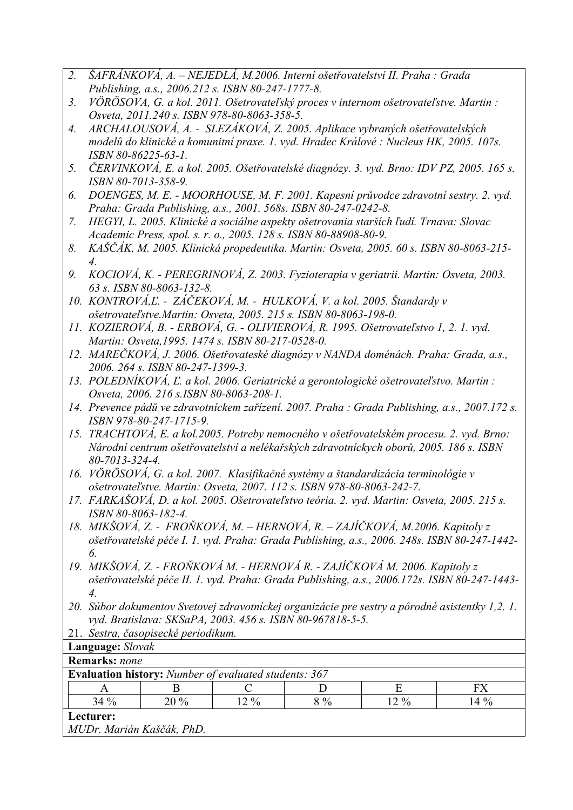- *2. ŠAFRÁNKOVÁ, A. NEJEDLÁ, M.2006. Interní ošetřovatelství II. Praha : Grada Publishing, a.s., 2006.212 s. ISBN 80-247-1777-8.*
- *3. VÖRÖSOVA, G. a kol. 2011. Ošetrovateľský proces v internom ošetrovateľstve. Martin : Osveta, 2011.240 s. ISBN 978-80-8063-358-5.*
- *4. ARCHALOUSOVÁ, A. SLEZÁKOVÁ, Z. 2005. Aplikace vybraných ošetřovatelských modelů do klinické a komunitní praxe. 1. vyd. Hradec Králové : Nucleus HK, 2005. 107s. ISBN 80-86225-63-1.*
- *5. ČERVINKOVÁ, E. a kol. 2005. Ošetřovatelské diagnózy. 3. vyd. Brno: IDV PZ, 2005. 165 s. ISBN 80-7013-358-9.*
- *6. DOENGES, M. E. MOORHOUSE, M. F. 2001. Kapesní průvodce zdravotní sestry. 2. vyd. Praha: Grada Publishing, a.s., 2001. 568s. ISBN 80-247-0242-8.*
- *7. HEGYI, L. 2005. Klinické a sociálne aspekty ošetrovania starších ľudí. Trnava: Slovac Academic Press, spol. s. r. o., 2005. 128 s. ISBN 80-88908-80-9.*
- *8. KAŠČÁK, M. 2005. Klinická propedeutika. Martin: Osveta, 2005. 60 s. ISBN 80-8063-215- 4.*
- *9. KOCIOVÁ, K. PEREGRINOVÁ, Z. 2003. Fyzioterapia v geriatrii. Martin: Osveta, 2003. 63 s. ISBN 80-8063-132-8.*
- *10. KONTROVÁ,Ľ. ZÁČEKOVÁ, M. HULKOVÁ, V. a kol. 2005. Štandardy v ošetrovateľstve.Martin: Osveta, 2005. 215 s. ISBN 80-8063-198-0.*
- *11. KOZIEROVÁ, B. ERBOVÁ, G. OLIVIEROVÁ, R. 1995. Ošetrovateľstvo 1, 2. 1. vyd. Martin: Osveta,1995. 1474 s. ISBN 80-217-0528-0.*
- *12. MAREČKOVÁ, J. 2006. Ošetřovateské diagnózy v NANDA doménách. Praha: Grada, a.s., 2006. 264 s. ISBN 80-247-1399-3.*
- *13. POLEDNÍKOVÁ, Ľ. a kol. 2006. Geriatrické a gerontologické ošetrovateľstvo. Martin : Osveta, 2006. 216 s.ISBN 80-8063-208-1.*
- *14. Prevence pádů ve zdravotníckem zařízení. 2007. Praha : Grada Publishing, a.s., 2007.172 s. ISBN 978-80-247-1715-9.*
- *15. TRACHTOVÁ, E. a kol.2005. Potreby nemocného v ošetřovatelském procesu. 2. vyd. Brno: Národní centrum ošetřovatelství a nelékařských zdravotníckych oborů, 2005. 186 s. ISBN 80-7013-324-4.*
- *16. VÖRÖSOVÁ, G. a kol. 2007. Klasifikačné systémy a štandardizácia terminológie v ošetrovateľstve. Martin: Osveta, 2007. 112 s. ISBN 978-80-8063-242-7.*
- *17. FARKAŠOVÁ, D. a kol. 2005. Ošetrovateľstvo teória. 2. vyd. Martin: Osveta, 2005. 215 s. ISBN 80-8063-182-4.*
- *18. MIKŠOVÁ, Z. FROŇKOVÁ, M. HERNOVÁ, R. ZAJÍČKOVÁ, M.2006. Kapitoly z ošetřovatelské péče I. 1. vyd. Praha: Grada Publishing, a.s., 2006. 248s. ISBN 80-247-1442- 6.*
- *19. MIKŠOVÁ, Z. FROŇKOVÁ M. HERNOVÁ R. ZAJÍČKOVÁ M. 2006. Kapitoly z ošetřovatelské péče II. 1. vyd. Praha: Grada Publishing, a.s., 2006.172s. ISBN 80-247-1443- 4.*
- *20. Súbor dokumentov Svetovej zdravotníckej organizácie pre sestry a pôrodné asistentky 1,2. 1. vyd. Bratislava: SKSaPA, 2003. 456 s. ISBN 80-967818-5-5.*
- 21. *Sestra, časopisecké periodikum.*

| Language: Slovak                                             |        |        |          |     |       |      |  |  |
|--------------------------------------------------------------|--------|--------|----------|-----|-------|------|--|--|
| <b>Remarks:</b> none                                         |        |        |          |     |       |      |  |  |
| <b>Evaluation history:</b> Number of evaluated students: 367 |        |        |          |     |       |      |  |  |
|                                                              |        |        |          |     |       |      |  |  |
|                                                              | $34\%$ | $20\%$ | $12. \%$ | 8 % | 12.96 | 14 % |  |  |
| <b>Lecturer:</b>                                             |        |        |          |     |       |      |  |  |

*MUDr. Marián Kaščák, PhD.*